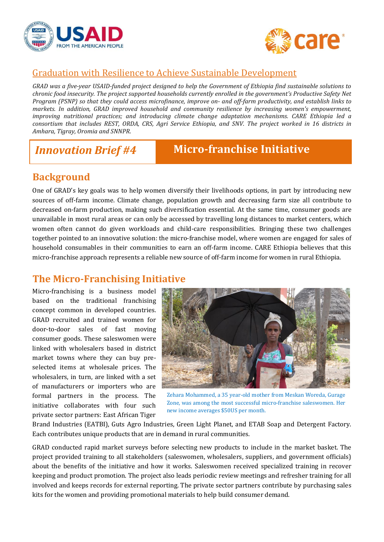



## Graduation with Resilience to Achieve Sustainable Development

*GRAD was a five-year USAID-funded project designed to help the Government of Ethiopia find sustainable solutions to chronic food insecurity. The project supported households currently enrolled in the government's Productive Safety Net Program (PSNP) so that they could access microfinance, improve on- and off-farm productivity, and establish links to markets. In addition, GRAD improved household and community resilience by increasing women's empowerment, improving nutritional practices; and introducing climate change adaptation mechanisms. CARE Ethiopia led a consortium that includes REST, ORDA, CRS, Agri Service Ethiopia, and SNV. The project worked in 16 districts in Amhara, Tigray, Oromia and SNNPR*.

# *Innovation Brief #4* **Micro-franchise Initiative**

# **Background**

One of GRAD's key goals was to help women diversify their livelihoods options, in part by introducing new sources of off-farm income. Climate change, population growth and decreasing farm size all contribute to decreased on-farm production, making such diversification essential. At the same time, consumer goods are unavailable in most rural areas or can only be accessed by travelling long distances to market centers, which women often cannot do given workloads and child-care responsibilities. Bringing these two challenges together pointed to an innovative solution: the micro-franchise model, where women are engaged for sales of household consumables in their communities to earn an off-farm income. CARE Ethiopia believes that this micro-franchise approach represents a reliable new source of off-farm income for women in rural Ethiopia.

## **The Micro-Franchising Initiative**

Micro-franchising is a business model based on the traditional franchising concept common in developed countries. GRAD recruited and trained women for door-to-door sales of fast moving consumer goods. These saleswomen were linked with wholesalers based in district market towns where they can buy preselected items at wholesale prices. The wholesalers, in turn, are linked with a set of manufacturers or importers who are formal partners in the process. The initiative collaborates with four such private sector partners: East African Tiger



Zehara Mohammed, a 35 year-old mother from Meskan Woreda, Gurage Zone, was among the most successful micro-franchise saleswomen. Her new income averages \$50US per month.

Brand Industries (EATBI), Guts Agro Industries, Green Light Planet, and ETAB Soap and Detergent Factory. Each contributes unique products that are in demand in rural communities.

GRAD conducted rapid market surveys before selecting new products to include in the market basket. The project provided training to all stakeholders (saleswomen, wholesalers, suppliers, and government officials) about the benefits of the initiative and how it works. Saleswomen received specialized training in recover keeping and product promotion. The project also leads periodic review meetings and refresher training for all involved and keeps records for external reporting. The private sector partners contribute by purchasing sales kits for the women and providing promotional materials to help build consumer demand.